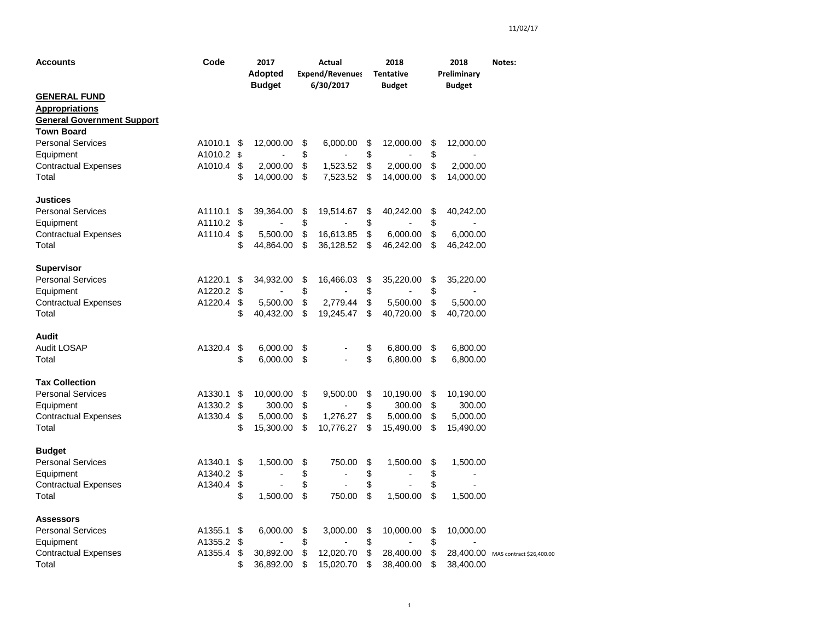| Accounts                          | Code       | 2017<br><b>Adopted</b><br><b>Budget</b> | Actual<br><b>Expend/Revenues</b><br>6/30/2017 |           |    | 2018<br><b>Tentative</b><br>Budget | 2018<br>Preliminary<br><b>Budget</b> | Notes:                             |
|-----------------------------------|------------|-----------------------------------------|-----------------------------------------------|-----------|----|------------------------------------|--------------------------------------|------------------------------------|
| <b>GENERAL FUND</b>               |            |                                         |                                               |           |    |                                    |                                      |                                    |
| <b>Appropriations</b>             |            |                                         |                                               |           |    |                                    |                                      |                                    |
| <b>General Government Support</b> |            |                                         |                                               |           |    |                                    |                                      |                                    |
| <b>Town Board</b>                 |            |                                         |                                               |           |    |                                    |                                      |                                    |
| <b>Personal Services</b>          | A1010.1    | \$<br>12,000.00                         | \$                                            | 6,000.00  | \$ | 12,000.00                          | \$<br>12,000.00                      |                                    |
| Equipment                         | A1010.2 \$ |                                         | \$                                            |           | \$ |                                    | \$                                   |                                    |
| <b>Contractual Expenses</b>       | A1010.4    | \$<br>2,000.00                          | \$                                            | 1,523.52  | \$ | 2,000.00                           | \$<br>2,000.00                       |                                    |
| Total                             |            | \$<br>14,000.00                         | \$                                            | 7,523.52  | \$ | 14,000.00                          | \$<br>14,000.00                      |                                    |
| Justices                          |            |                                         |                                               |           |    |                                    |                                      |                                    |
| <b>Personal Services</b>          | A1110.1    | \$<br>39,364.00                         | \$                                            | 19,514.67 | \$ | 40,242.00                          | \$<br>40,242.00                      |                                    |
| Equipment                         | A1110.2    | \$                                      | \$                                            |           | \$ |                                    | \$                                   |                                    |
| <b>Contractual Expenses</b>       | A1110.4    | \$<br>5,500.00                          | \$                                            | 16,613.85 | \$ | 6,000.00                           | \$<br>6,000.00                       |                                    |
| Total                             |            | \$<br>44,864.00                         | \$                                            | 36,128.52 | \$ | 46,242.00                          | \$<br>46,242.00                      |                                    |
|                                   |            |                                         |                                               |           |    |                                    |                                      |                                    |
| <b>Supervisor</b>                 |            |                                         |                                               |           |    |                                    |                                      |                                    |
| <b>Personal Services</b>          | A1220.1    | \$<br>34,932.00                         | \$                                            | 16,466.03 | \$ | 35,220.00                          | \$<br>35,220.00                      |                                    |
| Equipment                         | A1220.2    | \$                                      | \$                                            |           | \$ |                                    | \$                                   |                                    |
| <b>Contractual Expenses</b>       | A1220.4    | \$<br>5,500.00                          | \$                                            | 2,779.44  | \$ | 5,500.00                           | \$<br>5,500.00                       |                                    |
| Total                             |            | \$<br>40,432.00                         | \$                                            | 19,245.47 | \$ | 40,720.00                          | \$<br>40,720.00                      |                                    |
|                                   |            |                                         |                                               |           |    |                                    |                                      |                                    |
| Audit                             |            |                                         |                                               |           |    |                                    |                                      |                                    |
| <b>Audit LOSAP</b>                | A1320.4    | \$<br>6,000.00                          | \$                                            |           | \$ | 6,800.00                           | \$<br>6,800.00                       |                                    |
| Total                             |            | \$<br>6,000.00                          | \$                                            |           | \$ | 6,800.00                           | \$<br>6,800.00                       |                                    |
|                                   |            |                                         |                                               |           |    |                                    |                                      |                                    |
| <b>Tax Collection</b>             |            |                                         |                                               |           |    |                                    |                                      |                                    |
| <b>Personal Services</b>          | A1330.1    | \$<br>10,000.00                         | \$                                            | 9,500.00  | \$ | 10,190.00                          | \$<br>10,190.00                      |                                    |
| Equipment                         | A1330.2    | \$<br>300.00                            | \$                                            |           | \$ | 300.00                             | \$<br>300.00                         |                                    |
| <b>Contractual Expenses</b>       | A1330.4    | \$<br>5,000.00                          | \$                                            | 1,276.27  | \$ | 5,000.00                           | \$<br>5,000.00                       |                                    |
| Total                             |            | \$<br>15,300.00                         | \$                                            | 10,776.27 | \$ | 15,490.00                          | \$<br>15,490.00                      |                                    |
|                                   |            |                                         |                                               |           |    |                                    |                                      |                                    |
| <b>Budget</b>                     |            |                                         |                                               |           |    |                                    |                                      |                                    |
| <b>Personal Services</b>          | A1340.1    | \$<br>1,500.00                          | \$                                            | 750.00    | \$ | 1,500.00                           | \$<br>1,500.00                       |                                    |
| Equipment                         | A1340.2    | \$                                      | \$                                            |           | \$ |                                    | \$                                   |                                    |
| <b>Contractual Expenses</b>       | A1340.4    | \$                                      | \$                                            |           | \$ |                                    | \$                                   |                                    |
| Total                             |            | \$<br>1,500.00                          | \$                                            | 750.00    | \$ | 1,500.00                           | \$<br>1,500.00                       |                                    |
|                                   |            |                                         |                                               |           |    |                                    |                                      |                                    |
| <b>Assessors</b>                  |            |                                         |                                               |           |    |                                    |                                      |                                    |
| <b>Personal Services</b>          | A1355.1    | \$<br>6,000.00                          | \$                                            | 3,000.00  | \$ | 10,000.00                          | \$<br>10,000.00                      |                                    |
| Equipment                         | A1355.2    | \$                                      | \$                                            |           | \$ |                                    | \$                                   |                                    |
| <b>Contractual Expenses</b>       | A1355.4    | \$<br>30,892.00                         | \$                                            | 12,020.70 | \$ | 28,400.00                          | \$                                   | 28,400.00 MAS contract \$26,400.00 |
| Total                             |            | \$<br>36,892.00                         | \$                                            | 15,020.70 | \$ | 38,400.00                          | \$<br>38,400.00                      |                                    |
|                                   |            |                                         |                                               |           |    |                                    |                                      |                                    |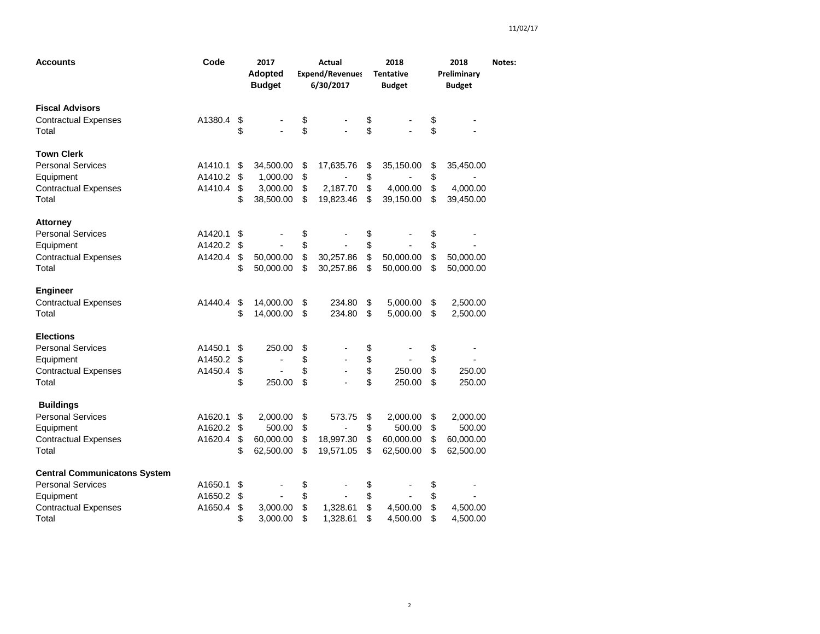| Accounts                                                                                                             | Code                          |                      | 2017<br><b>Adopted</b><br><b>Budget</b>        | Actual<br><b>Expend/Revenues</b><br>6/30/2017 |                                    |                      | 2018<br><b>Tentative</b><br><b>Budget</b>    |                      | 2018<br>Preliminary<br><b>Budget</b>         | Notes: |
|----------------------------------------------------------------------------------------------------------------------|-------------------------------|----------------------|------------------------------------------------|-----------------------------------------------|------------------------------------|----------------------|----------------------------------------------|----------------------|----------------------------------------------|--------|
| <b>Fiscal Advisors</b><br><b>Contractual Expenses</b><br>Total                                                       | A1380.4                       | \$<br>\$             |                                                | \$<br>\$                                      |                                    | \$<br>\$             |                                              | \$<br>\$             |                                              |        |
| <b>Town Clerk</b><br><b>Personal Services</b><br>Equipment<br><b>Contractual Expenses</b><br>Total                   | A1410.1<br>A1410.2<br>A1410.4 | \$<br>\$<br>\$<br>\$ | 34,500.00<br>1,000.00<br>3,000.00<br>38,500.00 | \$<br>\$<br>\$<br>\$                          | 17,635.76<br>2,187.70<br>19,823.46 | \$<br>\$<br>\$<br>\$ | 35,150.00<br>4,000.00<br>39,150.00           | \$<br>\$<br>\$<br>\$ | 35,450.00<br>4,000.00<br>39,450.00           |        |
| <b>Attorney</b><br><b>Personal Services</b><br>Equipment<br><b>Contractual Expenses</b><br>Total                     | A1420.1<br>A1420.2<br>A1420.4 | \$<br>\$<br>\$<br>\$ | 50,000.00<br>50,000.00                         | \$<br>\$<br>\$<br>\$                          | 30,257.86<br>30,257.86             | \$<br>\$<br>\$<br>\$ | 50,000.00<br>50,000.00                       | \$<br>\$<br>\$<br>\$ | 50,000.00<br>50,000.00                       |        |
| <b>Engineer</b><br><b>Contractual Expenses</b><br>Total                                                              | A1440.4                       | \$<br>\$             | 14,000.00<br>14,000.00                         | \$<br>\$                                      | 234.80<br>234.80                   | \$<br>\$             | 5,000.00<br>5,000.00                         | \$<br>\$             | 2,500.00<br>2,500.00                         |        |
| <b>Elections</b><br><b>Personal Services</b><br>Equipment<br><b>Contractual Expenses</b><br>Total                    | A1450.1<br>A1450.2<br>A1450.4 | \$<br>\$<br>\$<br>\$ | 250.00<br>٠<br>250.00                          | \$<br>\$<br>\$<br>\$                          |                                    | \$<br>\$<br>\$<br>\$ | 250.00<br>250.00                             | \$<br>\$<br>\$<br>\$ | 250.00<br>250.00                             |        |
| <b>Buildings</b><br><b>Personal Services</b><br>Equipment<br><b>Contractual Expenses</b><br>Total                    | A1620.1<br>A1620.2<br>A1620.4 | \$<br>\$<br>\$<br>\$ | 2,000.00<br>500.00<br>60,000.00<br>62,500.00   | \$<br>\$<br>\$<br>\$                          | 573.75<br>18,997.30<br>19,571.05   | \$<br>\$<br>\$<br>\$ | 2,000.00<br>500.00<br>60,000.00<br>62,500.00 | \$<br>\$<br>\$<br>\$ | 2,000.00<br>500.00<br>60,000.00<br>62,500.00 |        |
| <b>Central Communicatons System</b><br><b>Personal Services</b><br>Equipment<br><b>Contractual Expenses</b><br>Total | A1650.1<br>A1650.2<br>A1650.4 | \$<br>\$<br>\$<br>\$ | 3,000.00<br>3,000.00                           | \$<br>\$<br>\$<br>\$                          | 1,328.61<br>1,328.61               | \$<br>\$<br>\$<br>\$ | 4,500.00<br>4,500.00                         | \$<br>\$<br>\$<br>\$ | 4,500.00<br>4,500.00                         |        |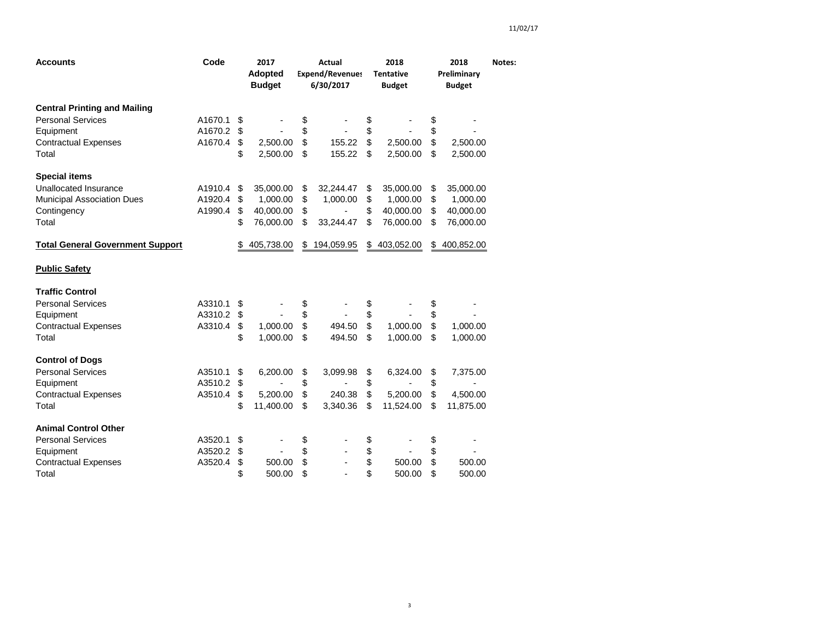| <b>Accounts</b>                         | Code    |    | 2017<br><b>Adopted</b><br><b>Budget</b> | Actual<br><b>Expend/Revenues</b><br>6/30/2017 |            |    | 2018<br><b>Tentative</b><br><b>Budget</b> | 2018<br>Preliminary<br><b>Budget</b> | Notes: |
|-----------------------------------------|---------|----|-----------------------------------------|-----------------------------------------------|------------|----|-------------------------------------------|--------------------------------------|--------|
| <b>Central Printing and Mailing</b>     |         |    |                                         |                                               |            |    |                                           |                                      |        |
| <b>Personal Services</b>                | A1670.1 | \$ |                                         | \$                                            |            | \$ |                                           | \$                                   |        |
| Equipment                               | A1670.2 | \$ |                                         | \$                                            |            | \$ |                                           | \$                                   |        |
| <b>Contractual Expenses</b>             | A1670.4 | \$ | 2,500.00                                | \$                                            | 155.22     | \$ | 2,500.00                                  | \$<br>2,500.00                       |        |
| Total                                   |         | \$ | 2,500.00                                | \$                                            | 155.22     | \$ | 2,500.00                                  | \$<br>2,500.00                       |        |
| <b>Special items</b>                    |         |    |                                         |                                               |            |    |                                           |                                      |        |
| Unallocated Insurance                   | A1910.4 | \$ | 35,000.00                               | \$                                            | 32,244.47  | \$ | 35,000.00                                 | \$<br>35,000.00                      |        |
| <b>Municipal Association Dues</b>       | A1920.4 | \$ | 1,000.00                                | \$                                            | 1,000.00   | \$ | 1,000.00                                  | \$<br>1,000.00                       |        |
| Contingency                             | A1990.4 | \$ | 40,000.00                               | \$                                            |            | \$ | 40,000.00                                 | \$<br>40,000.00                      |        |
| Total                                   |         | \$ | 76,000.00                               | \$                                            | 33,244.47  | \$ | 76,000.00                                 | \$<br>76,000.00                      |        |
| <b>Total General Government Support</b> |         | \$ | 405,738.00                              | \$                                            | 194,059.95 | \$ | 403,052.00                                | \$<br>400,852.00                     |        |
| <b>Public Safety</b>                    |         |    |                                         |                                               |            |    |                                           |                                      |        |
| <b>Traffic Control</b>                  |         |    |                                         |                                               |            |    |                                           |                                      |        |
| <b>Personal Services</b>                | A3310.1 | \$ |                                         | \$                                            |            | \$ |                                           | \$                                   |        |
| Equipment                               | A3310.2 | \$ |                                         | \$                                            |            | \$ |                                           | \$                                   |        |
| <b>Contractual Expenses</b>             | A3310.4 | \$ | 1,000.00                                | \$                                            | 494.50     | \$ | 1,000.00                                  | \$<br>1,000.00                       |        |
| Total                                   |         | \$ | 1,000.00                                | \$                                            | 494.50     | \$ | 1,000.00                                  | \$<br>1,000.00                       |        |
| <b>Control of Dogs</b>                  |         |    |                                         |                                               |            |    |                                           |                                      |        |
| <b>Personal Services</b>                | A3510.1 | \$ | 6,200.00                                | \$                                            | 3,099.98   | \$ | 6,324.00                                  | \$<br>7,375.00                       |        |
| Equipment                               | A3510.2 | \$ |                                         | \$                                            |            | \$ |                                           | \$<br>۰                              |        |
| <b>Contractual Expenses</b>             | A3510.4 | \$ | 5,200.00                                | \$                                            | 240.38     | \$ | 5,200.00                                  | \$<br>4,500.00                       |        |
| Total                                   |         | \$ | 11,400.00                               | \$                                            | 3,340.36   | \$ | 11,524.00                                 | \$<br>11,875.00                      |        |
| <b>Animal Control Other</b>             |         |    |                                         |                                               |            |    |                                           |                                      |        |
| <b>Personal Services</b>                | A3520.1 | \$ |                                         |                                               |            | \$ |                                           | \$                                   |        |
| Equipment                               | A3520.2 | \$ | $\overline{\phantom{a}}$                | \$<br>\$                                      |            | \$ | $\overline{\phantom{0}}$                  | \$                                   |        |
| <b>Contractual Expenses</b>             | A3520.4 | \$ | 500.00                                  | \$                                            |            | \$ | 500.00                                    | \$<br>500.00                         |        |
| Total                                   |         | \$ | 500.00                                  | \$                                            |            | \$ | 500.00                                    | \$<br>500.00                         |        |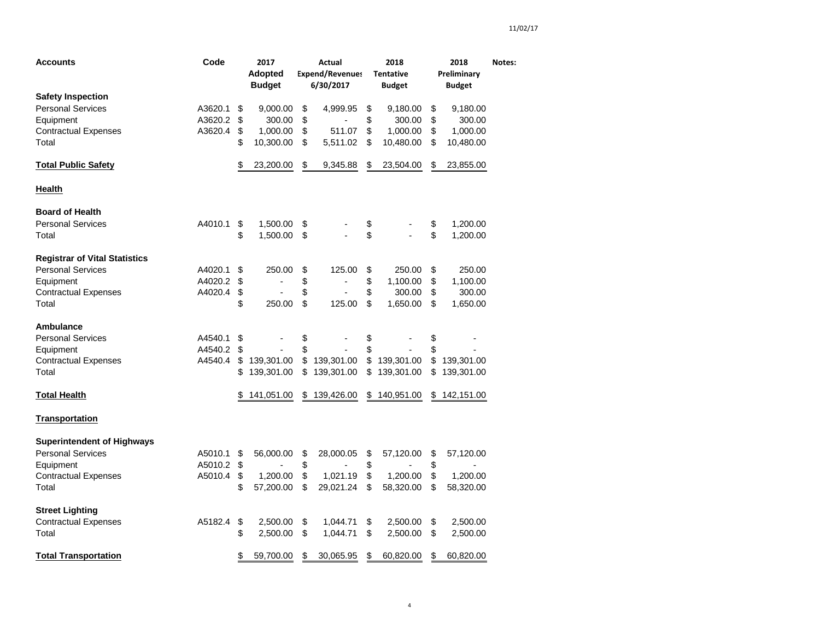| <b>Accounts</b>                      | Code               | 2017<br>Actual<br>2018<br><b>Adopted</b><br><b>Expend/Revenues</b><br><b>Tentative</b><br><b>Budget</b><br>6/30/2017<br><b>Budget</b> |            |          |            |          | Preliminary | Notes:   |               |  |
|--------------------------------------|--------------------|---------------------------------------------------------------------------------------------------------------------------------------|------------|----------|------------|----------|-------------|----------|---------------|--|
| <b>Safety Inspection</b>             |                    |                                                                                                                                       |            |          |            |          |             |          | <b>Budget</b> |  |
| <b>Personal Services</b>             | A3620.1            | \$                                                                                                                                    | 9,000.00   | \$       | 4,999.95   | \$       | 9,180.00    | \$       | 9,180.00      |  |
| Equipment                            | A3620.2            | \$                                                                                                                                    | 300.00     | \$       |            | \$       | 300.00      | \$       | 300.00        |  |
| <b>Contractual Expenses</b>          | A3620.4            | \$                                                                                                                                    | 1,000.00   | \$       | 511.07     | \$       | 1,000.00    | \$       | 1,000.00      |  |
| Total                                |                    | \$                                                                                                                                    | 10,300.00  | \$       | 5,511.02   | \$       | 10,480.00   | \$       | 10,480.00     |  |
| <b>Total Public Safety</b>           |                    | \$                                                                                                                                    | 23,200.00  | \$       | 9,345.88   | \$       | 23,504.00   | \$       | 23,855.00     |  |
| <u>Health</u>                        |                    |                                                                                                                                       |            |          |            |          |             |          |               |  |
| <b>Board of Health</b>               |                    |                                                                                                                                       |            |          |            |          |             |          |               |  |
| <b>Personal Services</b>             | A4010.1            | \$                                                                                                                                    | 1,500.00   | \$       |            | \$       |             | \$       | 1,200.00      |  |
| Total                                |                    | \$                                                                                                                                    | 1,500.00   | \$       |            | \$       |             | \$       | 1,200.00      |  |
| <b>Registrar of Vital Statistics</b> |                    |                                                                                                                                       |            |          |            |          |             |          |               |  |
| <b>Personal Services</b>             | A4020.1            | \$                                                                                                                                    | 250.00     | \$       | 125.00     | \$       | 250.00      | \$       | 250.00        |  |
| Equipment                            | A4020.2            | \$                                                                                                                                    |            | \$       |            | \$       | 1,100.00    | \$       | 1,100.00      |  |
| <b>Contractual Expenses</b>          | A4020.4            | \$                                                                                                                                    |            | \$       |            | \$       | 300.00      | \$       | 300.00        |  |
| Total                                |                    | \$                                                                                                                                    | 250.00     | \$       | 125.00     | \$       | 1,650.00    | \$       | 1,650.00      |  |
| Ambulance                            |                    |                                                                                                                                       |            |          |            |          |             |          |               |  |
| <b>Personal Services</b>             | A4540.1            | \$                                                                                                                                    |            | \$       |            | \$       |             | \$       |               |  |
| Equipment                            | A4540.2<br>A4540.4 | \$<br>\$                                                                                                                              | 139,301.00 | \$<br>\$ | 139,301.00 | \$<br>\$ | 139,301.00  | \$<br>\$ | 139,301.00    |  |
| <b>Contractual Expenses</b><br>Total |                    | \$                                                                                                                                    | 139,301.00 | \$       | 139,301.00 | \$       | 139,301.00  | \$       | 139,301.00    |  |
|                                      |                    |                                                                                                                                       |            |          |            |          |             |          |               |  |
| <b>Total Health</b>                  |                    |                                                                                                                                       | 141,051.00 | \$       | 139,426.00 | \$       | 140,951.00  | \$       | 142,151.00    |  |
| <b>Transportation</b>                |                    |                                                                                                                                       |            |          |            |          |             |          |               |  |
| <b>Superintendent of Highways</b>    |                    |                                                                                                                                       |            |          |            |          |             |          |               |  |
| <b>Personal Services</b>             | A5010.1            | \$                                                                                                                                    | 56,000.00  | \$       | 28,000.05  | \$       | 57,120.00   | \$       | 57,120.00     |  |
| Equipment                            | A5010.2            | \$                                                                                                                                    |            | \$       |            | \$       |             | \$       |               |  |
| <b>Contractual Expenses</b>          | A5010.4            | \$                                                                                                                                    | 1,200.00   | \$       | 1,021.19   | \$       | 1,200.00    | \$       | 1,200.00      |  |
| Total                                |                    | \$                                                                                                                                    | 57,200.00  | \$       | 29,021.24  | \$       | 58,320.00   | \$       | 58,320.00     |  |
| <b>Street Lighting</b>               |                    |                                                                                                                                       |            |          |            |          |             |          |               |  |
| <b>Contractual Expenses</b>          | A5182.4            | \$                                                                                                                                    | 2,500.00   | \$       | 1,044.71   | \$       | 2,500.00    | \$       | 2,500.00      |  |
| Total                                |                    | \$                                                                                                                                    | 2,500.00   | \$       | 1,044.71   | \$       | 2,500.00    | \$       | 2,500.00      |  |
| <b>Total Transportation</b>          |                    | \$                                                                                                                                    | 59,700.00  | \$       | 30,065.95  | \$       | 60,820.00   | \$       | 60,820.00     |  |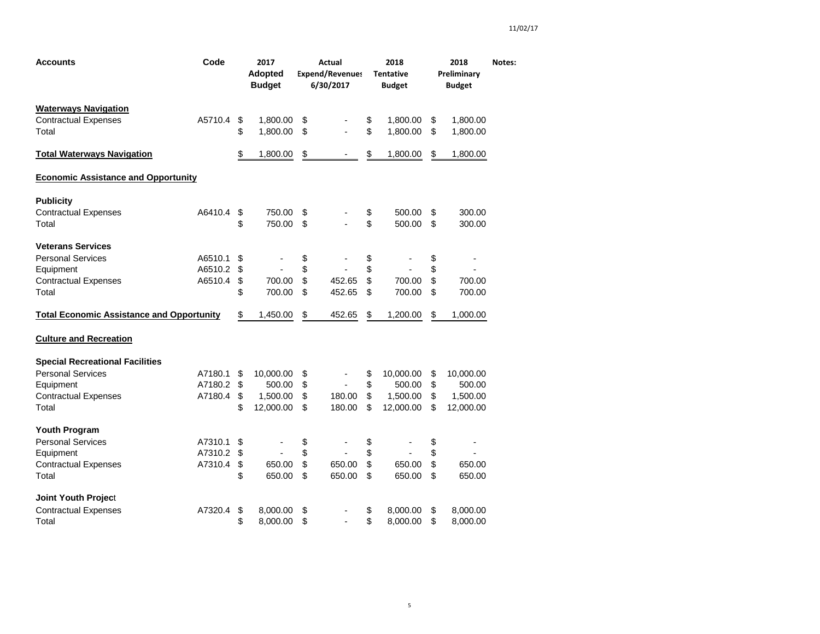| Accounts                                         | Code    | 2017<br><b>Adopted</b><br><b>Budget</b> |               | Actual<br><b>Expend/Revenues</b><br>6/30/2017 | 2018<br><b>Tentative</b><br><b>Budget</b> | 2018<br>Preliminary<br><b>Budget</b> | Notes: |
|--------------------------------------------------|---------|-----------------------------------------|---------------|-----------------------------------------------|-------------------------------------------|--------------------------------------|--------|
| <b>Waterways Navigation</b>                      |         |                                         |               |                                               |                                           |                                      |        |
| <b>Contractual Expenses</b>                      | A5710.4 | \$<br>1,800.00                          | \$            |                                               | \$<br>1,800.00                            | \$<br>1,800.00                       |        |
| Total                                            |         | \$<br>1,800.00                          | \$            |                                               | \$<br>1,800.00                            | \$<br>1,800.00                       |        |
| <b>Total Waterways Navigation</b>                |         | \$<br>1,800.00                          | $\frac{2}{3}$ |                                               | \$<br>1,800.00                            | \$<br>1,800.00                       |        |
| <b>Economic Assistance and Opportunity</b>       |         |                                         |               |                                               |                                           |                                      |        |
| <b>Publicity</b>                                 |         |                                         |               |                                               |                                           |                                      |        |
| <b>Contractual Expenses</b>                      | A6410.4 | \$<br>750.00                            | \$            |                                               | \$<br>500.00                              | \$<br>300.00                         |        |
| Total                                            |         | \$<br>750.00                            | \$            |                                               | \$<br>500.00                              | \$<br>300.00                         |        |
| <b>Veterans Services</b>                         |         |                                         |               |                                               |                                           |                                      |        |
| <b>Personal Services</b>                         | A6510.1 | \$                                      | \$            |                                               | \$                                        | \$                                   |        |
| Equipment                                        | A6510.2 | \$                                      | \$            |                                               | \$                                        | \$                                   |        |
| <b>Contractual Expenses</b>                      | A6510.4 | \$<br>700.00                            | \$            | 452.65                                        | \$<br>700.00                              | \$<br>700.00                         |        |
| Total                                            |         | \$<br>700.00                            | \$            | 452.65                                        | \$<br>700.00                              | \$<br>700.00                         |        |
| <b>Total Economic Assistance and Opportunity</b> |         | \$<br>1,450.00                          | \$            | 452.65                                        | \$<br>1,200.00                            | \$<br>1,000.00                       |        |
| <b>Culture and Recreation</b>                    |         |                                         |               |                                               |                                           |                                      |        |
| <b>Special Recreational Facilities</b>           |         |                                         |               |                                               |                                           |                                      |        |
| <b>Personal Services</b>                         | A7180.1 | \$<br>10,000.00                         | \$            | $\overline{\phantom{a}}$                      | \$<br>10,000.00                           | \$<br>10,000.00                      |        |
| Equipment                                        | A7180.2 | \$<br>500.00                            | \$            | $\overline{\phantom{a}}$                      | \$<br>500.00                              | \$<br>500.00                         |        |
| <b>Contractual Expenses</b>                      | A7180.4 | \$<br>1,500.00                          | \$            | 180.00                                        | \$<br>1,500.00                            | \$<br>1,500.00                       |        |
| Total                                            |         | \$<br>12,000.00                         | \$            | 180.00                                        | \$<br>12,000.00                           | \$<br>12,000.00                      |        |
| Youth Program                                    |         |                                         |               |                                               |                                           |                                      |        |
| <b>Personal Services</b>                         | A7310.1 | \$<br>$\overline{a}$                    | \$            | $\blacksquare$                                | \$<br>÷,                                  | \$<br>$\overline{\phantom{a}}$       |        |
| Equipment                                        | A7310.2 | \$                                      | \$            |                                               | \$                                        | \$                                   |        |
| <b>Contractual Expenses</b>                      | A7310.4 | \$<br>650.00                            | \$            | 650.00                                        | \$<br>650.00                              | \$<br>650.00                         |        |
| Total                                            |         | \$<br>650.00                            | \$            | 650.00                                        | \$<br>650.00                              | \$<br>650.00                         |        |
| <b>Joint Youth Project</b>                       |         |                                         |               |                                               |                                           |                                      |        |
| <b>Contractual Expenses</b>                      | A7320.4 | \$<br>8,000.00                          | \$            |                                               | \$<br>8,000.00                            | \$<br>8,000.00                       |        |
| Total                                            |         | \$<br>8,000.00                          | \$            |                                               | \$<br>8,000.00                            | \$<br>8,000.00                       |        |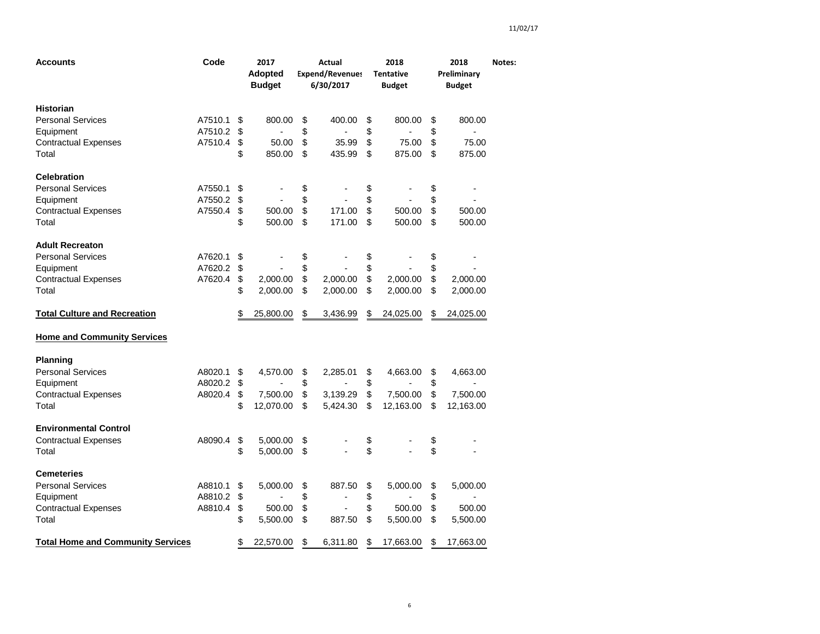| <b>Accounts</b>                          | Code    | 2017<br>Adopted<br><b>Budget</b> | Actual<br><b>Expend/Revenues</b><br>6/30/2017 |                | 2018<br><b>Tentative</b><br><b>Budget</b> |           | 2018<br>Preliminary<br><b>Budget</b> |           | Notes: |
|------------------------------------------|---------|----------------------------------|-----------------------------------------------|----------------|-------------------------------------------|-----------|--------------------------------------|-----------|--------|
| <b>Historian</b>                         |         |                                  |                                               |                |                                           |           |                                      |           |        |
| <b>Personal Services</b>                 | A7510.1 | \$<br>800.00                     | \$                                            | 400.00         | \$                                        | 800.00    | \$                                   | 800.00    |        |
| Equipment                                | A7510.2 | \$                               | \$                                            |                | \$                                        |           | \$                                   |           |        |
| <b>Contractual Expenses</b>              | A7510.4 | \$<br>50.00                      | \$                                            | 35.99          | \$                                        | 75.00     | \$                                   | 75.00     |        |
| Total                                    |         | \$<br>850.00                     | \$                                            | 435.99         | \$                                        | 875.00    | \$                                   | 875.00    |        |
| <b>Celebration</b>                       |         |                                  |                                               |                |                                           |           |                                      |           |        |
| <b>Personal Services</b>                 | A7550.1 | \$                               | \$                                            |                | \$                                        |           | \$                                   |           |        |
| Equipment                                | A7550.2 | \$                               | \$                                            |                | \$                                        |           | \$                                   |           |        |
| <b>Contractual Expenses</b>              | A7550.4 | \$<br>500.00                     | \$                                            | 171.00         | \$                                        | 500.00    | \$                                   | 500.00    |        |
| Total                                    |         | \$<br>500.00                     | \$                                            | 171.00         | \$                                        | 500.00    | \$                                   | 500.00    |        |
| <b>Adult Recreaton</b>                   |         |                                  |                                               |                |                                           |           |                                      |           |        |
| <b>Personal Services</b>                 | A7620.1 | \$                               | \$                                            |                | \$                                        |           | \$                                   |           |        |
| Equipment                                | A7620.2 | \$                               | \$                                            |                | \$                                        |           | \$                                   |           |        |
| <b>Contractual Expenses</b>              | A7620.4 | \$<br>2,000.00                   | \$                                            | 2,000.00       | \$                                        | 2,000.00  | \$                                   | 2,000.00  |        |
| Total                                    |         | \$<br>2,000.00                   | \$                                            | 2,000.00       | \$                                        | 2,000.00  | \$                                   | 2,000.00  |        |
| <b>Total Culture and Recreation</b>      |         | \$<br>25,800.00                  | \$                                            | 3,436.99       | \$                                        | 24,025.00 | \$                                   | 24,025.00 |        |
| <b>Home and Community Services</b>       |         |                                  |                                               |                |                                           |           |                                      |           |        |
| <b>Planning</b>                          |         |                                  |                                               |                |                                           |           |                                      |           |        |
| <b>Personal Services</b>                 | A8020.1 | \$<br>4,570.00                   | \$                                            | 2,285.01       | \$                                        | 4,663.00  | \$                                   | 4,663.00  |        |
| Equipment                                | A8020.2 | \$                               | \$                                            |                | \$                                        |           | \$                                   |           |        |
| <b>Contractual Expenses</b>              | A8020.4 | \$<br>7,500.00                   | \$                                            | 3,139.29       | \$                                        | 7,500.00  | \$                                   | 7,500.00  |        |
| Total                                    |         | \$<br>12,070.00                  | \$                                            | 5,424.30       | \$                                        | 12,163.00 | \$                                   | 12,163.00 |        |
| <b>Environmental Control</b>             |         |                                  |                                               |                |                                           |           |                                      |           |        |
| <b>Contractual Expenses</b>              | A8090.4 | \$<br>5,000.00                   | \$                                            |                | \$                                        |           | \$                                   |           |        |
| Total                                    |         | \$<br>5,000.00                   | \$                                            |                | \$                                        |           | \$                                   |           |        |
| <b>Cemeteries</b>                        |         |                                  |                                               |                |                                           |           |                                      |           |        |
| <b>Personal Services</b>                 | A8810.1 | \$<br>5,000.00                   | \$                                            | 887.50         | \$                                        | 5,000.00  | \$                                   | 5,000.00  |        |
| Equipment                                | A8810.2 | \$                               | \$                                            |                | \$                                        |           | \$                                   |           |        |
| <b>Contractual Expenses</b>              | A8810.4 | \$<br>500.00                     | \$                                            | $\overline{a}$ | \$                                        | 500.00    | \$                                   | 500.00    |        |
| Total                                    |         | \$<br>5,500.00                   | \$                                            | 887.50         | \$                                        | 5,500.00  | \$                                   | 5,500.00  |        |
| <b>Total Home and Community Services</b> |         | \$<br>22,570.00                  | \$                                            | 6,311.80       | \$                                        | 17,663.00 | \$                                   | 17,663.00 |        |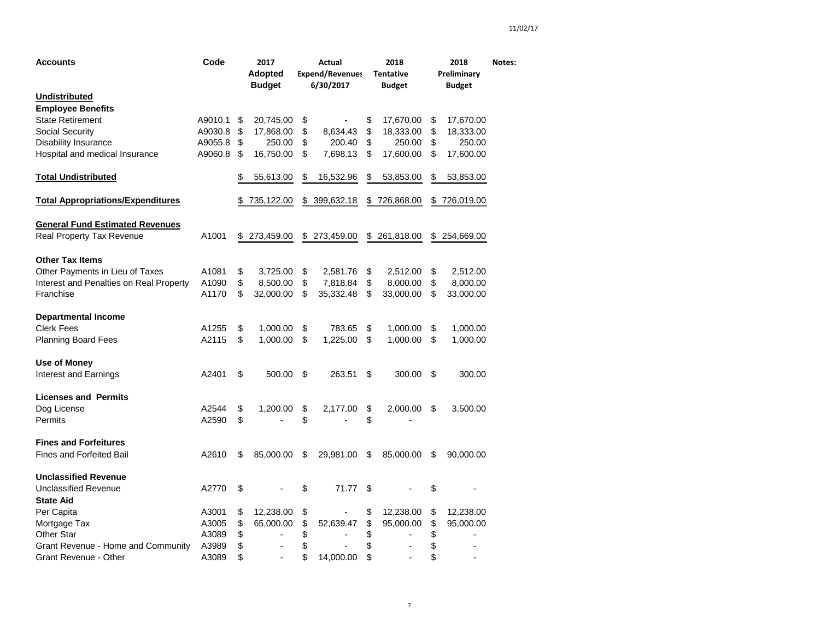| Accounts                                 | Code    | 2017<br><b>Adopted</b><br><b>Budget</b> | Actual<br><b>Expend/Revenues</b><br>6/30/2017 |              | 2018<br><b>Tentative</b><br><b>Budget</b> |            | 2018<br>Preliminary<br><b>Budget</b> |            | Notes: |
|------------------------------------------|---------|-----------------------------------------|-----------------------------------------------|--------------|-------------------------------------------|------------|--------------------------------------|------------|--------|
| <b>Undistributed</b>                     |         |                                         |                                               |              |                                           |            |                                      |            |        |
| <b>Employee Benefits</b>                 |         |                                         |                                               |              |                                           |            |                                      |            |        |
| <b>State Retirement</b>                  | A9010.1 | \$<br>20,745.00                         | \$                                            |              | \$                                        | 17,670.00  | $\boldsymbol{\theta}$                | 17,670.00  |        |
| Social Security                          | A9030.8 | \$<br>17,868.00                         | \$                                            | 8,634.43     | \$                                        | 18,333.00  | \$                                   | 18,333.00  |        |
| Disability Insurance                     | A9055.8 | \$<br>250.00                            | \$                                            | 200.40       | \$                                        | 250.00     | \$                                   | 250.00     |        |
| Hospital and medical Insurance           | A9060.8 | \$<br>16,750.00                         | \$                                            | 7,698.13     | \$                                        | 17,600.00  | \$                                   | 17,600.00  |        |
| <b>Total Undistributed</b>               |         | \$<br>55,613.00                         | \$                                            | 16,532.96    | \$                                        | 53,853.00  | \$                                   | 53,853.00  |        |
| <b>Total Appropriations/Expenditures</b> |         | \$<br>735,122.00                        | \$                                            | 399,632.18   | \$                                        | 726,868.00 | \$                                   | 726,019.00 |        |
| <b>General Fund Estimated Revenues</b>   |         |                                         |                                               |              |                                           |            |                                      |            |        |
| Real Property Tax Revenue                | A1001   | \$273,459.00                            |                                               | \$273,459.00 | \$                                        | 261,818.00 | \$                                   | 254,669.00 |        |
| <b>Other Tax Items</b>                   |         |                                         |                                               |              |                                           |            |                                      |            |        |
| Other Payments in Lieu of Taxes          | A1081   | \$<br>3,725.00                          | \$                                            | 2,581.76     | \$                                        | 2,512.00   | \$                                   | 2,512.00   |        |
| Interest and Penalties on Real Property  | A1090   | \$<br>8,500.00                          | \$                                            | 7,818.84     | \$                                        | 8,000.00   | \$                                   | 8,000.00   |        |
| Franchise                                | A1170   | \$<br>32,000.00                         | \$                                            | 35,332.48    | \$                                        | 33,000.00  | \$                                   | 33,000.00  |        |
| <b>Departmental Income</b>               |         |                                         |                                               |              |                                           |            |                                      |            |        |
| <b>Clerk Fees</b>                        | A1255   | \$<br>1,000.00                          | \$                                            | 783.65       | \$                                        | 1,000.00   | \$                                   | 1,000.00   |        |
| <b>Planning Board Fees</b>               | A2115   | \$<br>1,000.00                          | \$                                            | 1,225.00     | \$                                        | 1,000.00   | \$                                   | 1,000.00   |        |
| Use of Money                             |         |                                         |                                               |              |                                           |            |                                      |            |        |
| Interest and Earnings                    | A2401   | \$<br>500.00                            | \$                                            | 263.51       | \$                                        | 300.00     | \$                                   | 300.00     |        |
| <b>Licenses and Permits</b>              |         |                                         |                                               |              |                                           |            |                                      |            |        |
| Dog License                              | A2544   | \$<br>1,200.00                          | \$                                            | 2,177.00     | \$                                        | 2,000.00   | \$                                   | 3,500.00   |        |
| Permits                                  | A2590   | \$                                      | \$                                            |              | \$                                        |            |                                      |            |        |
| <b>Fines and Forfeitures</b>             |         |                                         |                                               |              |                                           |            |                                      |            |        |
| <b>Fines and Forfeited Bail</b>          | A2610   | \$<br>85,000.00                         | \$                                            | 29,981.00    | \$                                        | 85,000.00  | \$                                   | 90,000.00  |        |
| <b>Unclassified Revenue</b>              |         |                                         |                                               |              |                                           |            |                                      |            |        |
| Unclassified Revenue<br><b>State Aid</b> | A2770   | \$                                      | \$                                            | 71.77        | \$                                        |            | \$                                   |            |        |
| Per Capita                               | A3001   | \$<br>12,238.00                         | \$                                            |              | \$                                        | 12,238.00  | \$                                   | 12,238.00  |        |
| Mortgage Tax                             | A3005   | \$<br>65,000.00                         | \$                                            | 52,639.47    | \$                                        | 95,000.00  | \$                                   | 95,000.00  |        |
| <b>Other Star</b>                        | A3089   | \$                                      | \$                                            |              | \$                                        |            | \$                                   |            |        |
| Grant Revenue - Home and Community       | A3989   | \$                                      | \$                                            |              | \$                                        |            | \$                                   |            |        |
| Grant Revenue - Other                    | A3089   | \$<br>$\overline{a}$                    | \$                                            | 14,000.00    | \$                                        |            | \$                                   |            |        |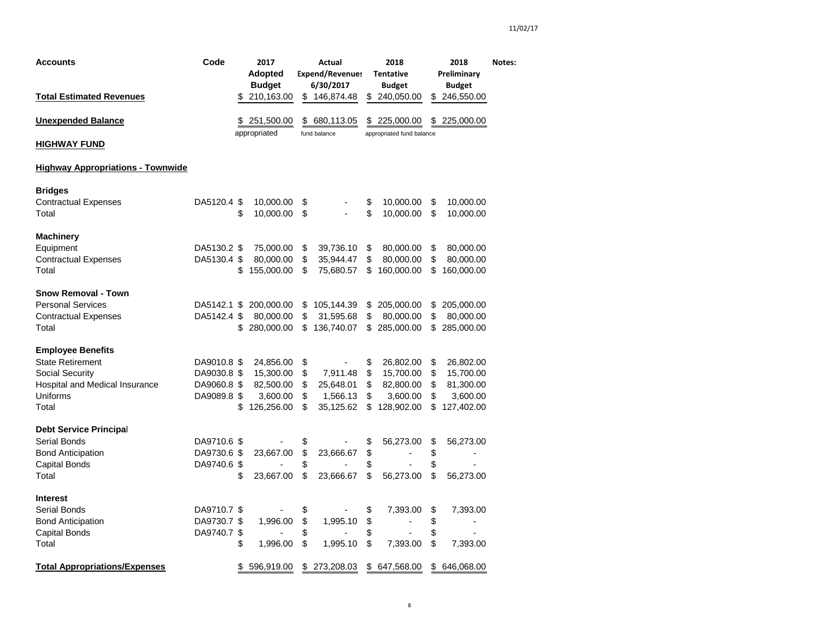| Accounts                                                                                                                      | Code                                                     |          | 2017<br>Adopted<br><b>Budget</b>                              | Actual<br><b>Expend/Revenues</b><br>6/30/2017 |                                                | 2018<br><b>Tentative</b><br><b>Budget</b> |                                                               |                            | 2018<br>Preliminary                                           | Notes: |
|-------------------------------------------------------------------------------------------------------------------------------|----------------------------------------------------------|----------|---------------------------------------------------------------|-----------------------------------------------|------------------------------------------------|-------------------------------------------|---------------------------------------------------------------|----------------------------|---------------------------------------------------------------|--------|
| <b>Total Estimated Revenues</b>                                                                                               |                                                          |          | 210,163.00                                                    | \$                                            | 146,874.48                                     |                                           | \$240,050.00                                                  |                            | <b>Budget</b><br>\$246,550.00                                 |        |
| <b>Unexpended Balance</b>                                                                                                     |                                                          |          | \$251,500.00<br>appropriated                                  | \$                                            | 680,113.05<br>fund balance                     | \$                                        | 225,000.00<br>appropriated fund balance                       | \$                         | 225,000.00                                                    |        |
| <u>HIGHWAY FUND</u>                                                                                                           |                                                          |          |                                                               |                                               |                                                |                                           |                                                               |                            |                                                               |        |
| <b>Highway Appropriations - Townwide</b>                                                                                      |                                                          |          |                                                               |                                               |                                                |                                           |                                                               |                            |                                                               |        |
| <b>Bridges</b><br><b>Contractual Expenses</b><br>Total                                                                        | DA5120.4 \$                                              | \$       | 10,000.00<br>10,000.00                                        | \$<br>\$                                      |                                                | \$<br>\$                                  | 10,000.00<br>10,000.00                                        | \$<br>\$                   | 10,000.00<br>10,000.00                                        |        |
| <b>Machinery</b><br>Equipment<br><b>Contractual Expenses</b><br>Total                                                         | DA5130.2 \$<br>DA5130.4 \$                               | \$       | 75,000.00<br>80,000.00<br>155,000.00                          | \$<br>\$<br>\$                                | 39,736.10<br>35,944.47<br>75,680.57            | \$<br>\$<br>\$                            | 80,000.00<br>80,000.00<br>160,000.00                          | \$<br>\$<br>\$             | 80,000.00<br>80,000.00<br>160,000.00                          |        |
| <b>Snow Removal - Town</b><br><b>Personal Services</b><br><b>Contractual Expenses</b><br>Total                                | DA5142.1<br>DA5142.4 \$                                  | \$<br>\$ | 200,000.00<br>80,000.00<br>280,000.00                         | \$<br>\$<br>\$                                | 105,144.39<br>31,595.68<br>136,740.07          | \$<br>\$                                  | 205,000.00<br>80,000.00<br>\$285,000.00                       | \$<br>\$<br>\$             | 205,000.00<br>80,000.00<br>285,000.00                         |        |
| <b>Employee Benefits</b><br><b>State Retirement</b><br>Social Security<br>Hospital and Medical Insurance<br>Uniforms<br>Total | DA9010.8 \$<br>DA9030.8 \$<br>DA9060.8 \$<br>DA9089.8 \$ | \$       | 24,856.00<br>15,300.00<br>82,500.00<br>3,600.00<br>126,256.00 | \$<br>\$<br>\$<br>\$<br>\$                    | 7,911.48<br>25,648.01<br>1,566.13<br>35,125.62 | \$<br>\$<br>\$<br>\$<br>\$                | 26,802.00<br>15,700.00<br>82,800.00<br>3,600.00<br>128,902.00 | \$<br>\$<br>\$<br>\$<br>\$ | 26,802.00<br>15,700.00<br>81,300.00<br>3,600.00<br>127,402.00 |        |
| <b>Debt Service Principal</b><br>Serial Bonds<br><b>Bond Anticipation</b><br>Capital Bonds<br>Total                           | DA9710.6 \$<br>DA9730.6 \$<br>DA9740.6 \$                | \$       | 23,667.00<br>23,667.00                                        | \$<br>\$<br>\$<br>\$                          | 23,666.67<br>23,666.67                         | \$<br>\$<br>\$<br>\$                      | 56,273.00<br>$\overline{\phantom{a}}$<br>56,273.00            | \$<br>\$<br>\$<br>\$       | 56,273.00<br>$\overline{\phantom{a}}$<br>56,273.00            |        |
| <b>Interest</b><br>Serial Bonds<br><b>Bond Anticipation</b><br>Capital Bonds<br>Total                                         | DA9710.7 \$<br>DA9730.7 \$<br>DA9740.7 \$                | \$       | 1,996.00<br>1,996.00                                          | \$<br>\$<br>\$<br>\$                          | 1,995.10<br>1,995.10                           | \$<br>\$<br>\$<br>\$                      | 7,393.00<br>÷,<br>7,393.00                                    | \$<br>\$<br>\$<br>\$       | 7,393.00<br>÷<br>7,393.00                                     |        |
| <b>Total Appropriations/Expenses</b>                                                                                          |                                                          | \$       | 596,919.00                                                    | \$                                            | 273,208.03                                     |                                           | \$647,568.00                                                  | \$                         | 646,068.00                                                    |        |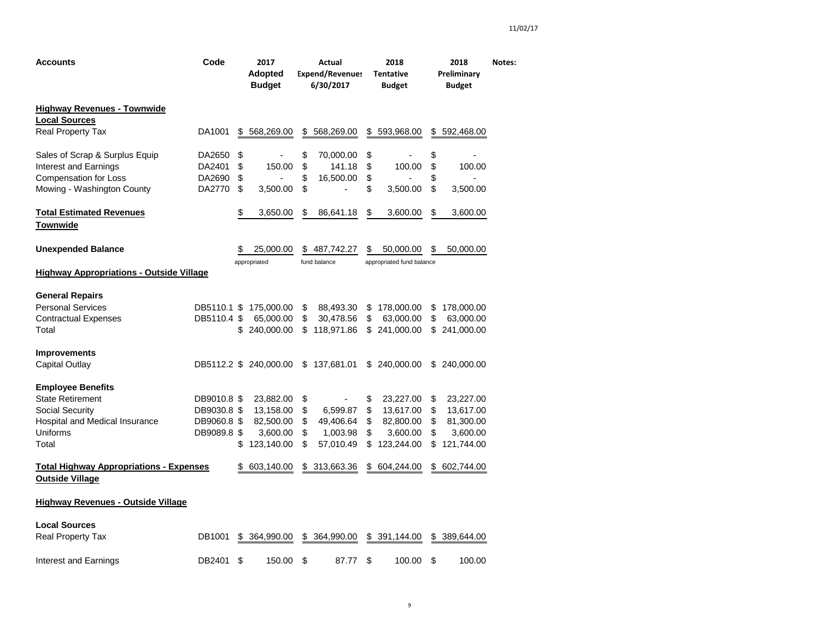| Accounts                                                                 | Code                       | 2017<br><b>Adopted</b><br><b>Budget</b> | Actual<br><b>Expend/Revenues</b><br>6/30/2017 |                | <b>Tentative</b> |                           | 2018<br>Preliminary<br><b>Budget</b> |                        | Notes: |
|--------------------------------------------------------------------------|----------------------------|-----------------------------------------|-----------------------------------------------|----------------|------------------|---------------------------|--------------------------------------|------------------------|--------|
| <b>Highway Revenues - Townwide</b>                                       |                            |                                         |                                               |                |                  |                           |                                      |                        |        |
| <b>Local Sources</b><br>Real Property Tax                                | DA1001                     | \$<br>568,269.00                        | \$                                            | 568,269.00     | \$               | 593,968.00                | \$                                   | 592,468.00             |        |
| Sales of Scrap & Surplus Equip                                           | DA2650                     | \$                                      | \$                                            | 70,000.00      | \$               |                           | \$                                   |                        |        |
| Interest and Earnings                                                    | DA2401                     | \$<br>150.00                            | \$                                            | 141.18         | \$               | 100.00                    | \$                                   | 100.00                 |        |
| <b>Compensation for Loss</b>                                             | DA2690                     | \$                                      | \$                                            | 16,500.00      | \$               |                           | \$                                   |                        |        |
| Mowing - Washington County                                               | DA2770                     | \$<br>3,500.00                          | \$                                            | $\overline{a}$ | \$               | 3,500.00                  | \$                                   | 3,500.00               |        |
| <b>Total Estimated Revenues</b><br>Townwide                              |                            | \$<br>3,650.00                          | \$                                            | 86,641.18      | \$               | 3,600.00                  | \$                                   | 3,600.00               |        |
|                                                                          |                            |                                         |                                               |                |                  |                           |                                      |                        |        |
| <b>Unexpended Balance</b>                                                |                            | \$<br>25,000.00                         | \$                                            | 487,742.27     | \$               | 50,000.00                 | \$                                   | 50,000.00              |        |
|                                                                          |                            | appropriated                            |                                               | fund balance   |                  | appropriated fund balance |                                      |                        |        |
| <b>Highway Appropriations - Outside Village</b>                          |                            |                                         |                                               |                |                  |                           |                                      |                        |        |
| <b>General Repairs</b>                                                   |                            |                                         |                                               |                |                  |                           |                                      |                        |        |
| <b>Personal Services</b>                                                 | DB5110.1 \$                | 175,000.00                              | \$                                            | 88,493.30      | \$               | 178,000.00                | \$                                   | 178,000.00             |        |
| <b>Contractual Expenses</b>                                              | DB5110.4 \$                | 65,000.00                               | \$                                            | 30,478.56      | \$               | 63,000.00                 | \$                                   | 63,000.00              |        |
| Total                                                                    |                            | \$<br>240,000.00                        | \$                                            | 118,971.86     |                  | \$241,000.00              | \$                                   | 241,000.00             |        |
| <b>Improvements</b>                                                      |                            |                                         |                                               |                |                  |                           |                                      |                        |        |
| <b>Capital Outlay</b>                                                    |                            | DB5112.2 \$ 240,000.00                  | \$                                            | 137,681.01     |                  | \$ 240,000.00             |                                      | \$ 240,000.00          |        |
|                                                                          |                            |                                         |                                               |                |                  |                           |                                      |                        |        |
| <b>Employee Benefits</b><br><b>State Retirement</b>                      |                            |                                         |                                               |                |                  |                           |                                      |                        |        |
| <b>Social Security</b>                                                   | DB9010.8 \$<br>DB9030.8 \$ | 23,882.00<br>13,158.00                  | \$<br>\$                                      | 6,599.87       | \$<br>\$         | 23,227.00<br>13,617.00    | \$<br>\$                             | 23,227.00<br>13,617.00 |        |
| Hospital and Medical Insurance                                           | DB9060.8 \$                | 82,500.00                               | \$                                            | 49,406.64      | \$               | 82,800.00                 | \$                                   | 81,300.00              |        |
| Uniforms                                                                 | DB9089.8 \$                | 3,600.00                                | \$                                            | 1,003.98       | \$               | 3,600.00                  | \$                                   | 3,600.00               |        |
| Total                                                                    |                            | \$<br>123,140.00                        | \$                                            | 57,010.49      | \$               | 123,244.00                | \$                                   | 121,744.00             |        |
|                                                                          |                            |                                         |                                               |                |                  |                           |                                      |                        |        |
| <b>Total Highway Appropriations - Expenses</b><br><b>Outside Village</b> |                            | \$<br>603,140.00                        | \$                                            | 313,663.36     | \$               | 604,244.00                | \$                                   | 602,744.00             |        |
| <b>Highway Revenues - Outside Village</b>                                |                            |                                         |                                               |                |                  |                           |                                      |                        |        |
| <b>Local Sources</b>                                                     |                            |                                         |                                               |                |                  |                           |                                      |                        |        |
| <b>Real Property Tax</b>                                                 | DB1001                     | \$<br>364,990.00                        | \$                                            | 364,990.00     | \$               | 391,144.00                | \$                                   | 389,644.00             |        |
| Interest and Earnings                                                    | DB2401                     | \$<br>150.00                            | \$                                            | 87.77          | \$               | 100.00                    | \$                                   | 100.00                 |        |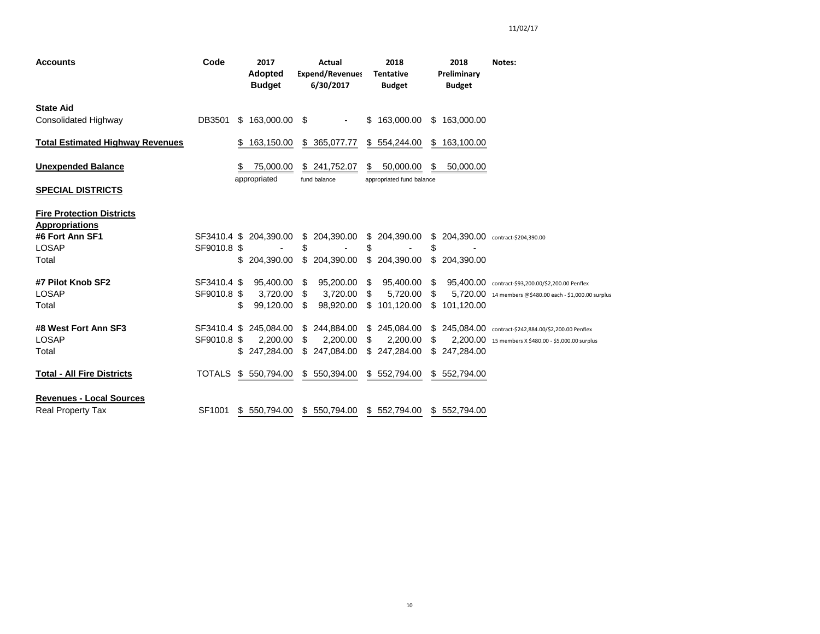| <b>Accounts</b>                                             | Code                       | 2017<br><b>Adopted</b><br><b>Budget</b> |          |                 | Actual<br><b>Expend/Revenues</b><br>6/30/2017 |          | 2018<br><b>Tentative</b><br><b>Budget</b> |                 | 2018<br>Preliminary<br><b>Budget</b> | Notes:                                                                                                       |
|-------------------------------------------------------------|----------------------------|-----------------------------------------|----------|-----------------|-----------------------------------------------|----------|-------------------------------------------|-----------------|--------------------------------------|--------------------------------------------------------------------------------------------------------------|
| <b>State Aid</b><br><b>Consolidated Highway</b>             | DB3501                     | \$163,000.00                            |          | S.              |                                               |          | \$163,000.00                              | \$              | 163,000.00                           |                                                                                                              |
| <b>Total Estimated Highway Revenues</b>                     |                            | S.<br>163,150.00                        |          | \$              | 365,077.77                                    |          | \$ 554,244.00                             | \$              | 163,100.00                           |                                                                                                              |
| <b>Unexpended Balance</b>                                   |                            | 75,000.00                               |          |                 | \$241,752.07                                  | S        | 50,000.00                                 | S               | 50,000.00                            |                                                                                                              |
| <b>SPECIAL DISTRICTS</b>                                    |                            | appropriated                            |          |                 | fund balance                                  |          | appropriated fund balance                 |                 |                                      |                                                                                                              |
| <b>Fire Protection Districts</b><br><b>Appropriations</b>   |                            |                                         |          |                 |                                               |          |                                           |                 |                                      |                                                                                                              |
| #6 Fort Ann SF1<br><b>LOSAP</b>                             | SF3410.4 \$<br>SF9010.8 \$ | 204.390.00                              |          | \$<br>S         | 204,390.00                                    | \$       | \$ 204,390.00                             | \$<br>S         |                                      | 204,390.00 contract-\$204,390.00                                                                             |
| Total                                                       |                            | 204.390.00                              |          | \$              | 204,390.00                                    |          | \$ 204,390.00                             | \$              | 204.390.00                           |                                                                                                              |
| #7 Pilot Knob SF2<br><b>LOSAP</b><br>Total                  | SF3410.4 \$<br>SF9010.8 \$ | 95,400.00<br>99.120.00<br>\$            | 3,720.00 | S<br>\$.<br>\$. | 95,200.00<br>3.720.00<br>98.920.00            | S<br>\$  | 95,400.00<br>5.720.00<br>\$101,120.00     | - \$<br>S<br>\$ | 101,120.00                           | 95,400.00 contract-\$93,200.00/\$2,200.00 Penflex<br>5,720.00 14 members @\$480.00 each - \$1,000.00 surplus |
| #8 West Fort Ann SF3<br><b>LOSAP</b><br>Total               | SF3410.4 \$<br>SF9010.8 \$ | 245,084.00<br>247,284.00                | 2.200.00 | \$<br>\$<br>\$. | 244,884.00<br>2.200.00<br>247,084.00          | \$<br>\$ | \$ 245,084.00<br>2.200.00<br>247,284.00   | S.<br>S<br>S    | 247,284.00                           | 245,084.00 contract-\$242,884.00/\$2,200.00 Penflex<br>2,200.00 15 members X \$480.00 - \$5,000.00 surplus   |
| <b>Total - All Fire Districts</b>                           | <b>TOTALS</b>              | \$550,794.00                            |          |                 | \$550,394.00                                  |          | \$552,794.00                              |                 | \$552,794.00                         |                                                                                                              |
| <b>Revenues - Local Sources</b><br><b>Real Property Tax</b> | SF1001                     | \$550,794.00                            |          | S.              | 550,794.00                                    |          | \$552,794.00                              | \$              | 552,794.00                           |                                                                                                              |